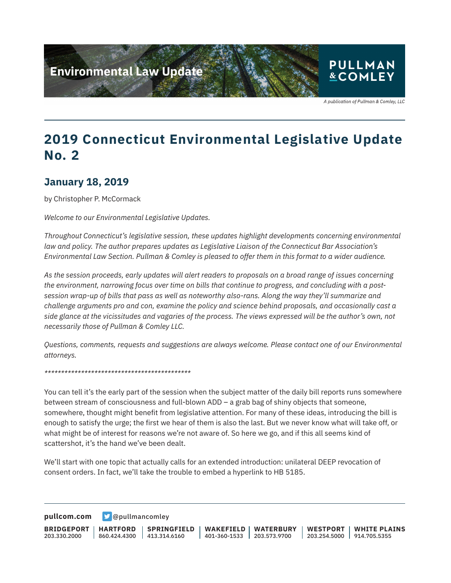

## **2019 Connecticut Environmental Legislative Update No. 2**

#### **January 18, 2019**

by Christopher P. McCormack

*Welcome to our Environmental Legislative Updates.*

*Throughout Connecticut's legislative session, these updates highlight developments concerning environmental law and policy. The author prepares updates as Legislative Liaison of the Connecticut Bar Association's Environmental Law Section. Pullman & Comley is pleased to offer them in this format to a wider audience.* 

*As the session proceeds, early updates will alert readers to proposals on a broad range of issues concerning the environment, narrowing focus over time on bills that continue to progress, and concluding with a postsession wrap-up of bills that pass as well as noteworthy also-rans. Along the way they'll summarize and challenge arguments pro and con, examine the policy and science behind proposals, and occasionally cast a side glance at the vicissitudes and vagaries of the process. The views expressed will be the author's own, not necessarily those of Pullman & Comley LLC.*

*Questions, comments, requests and suggestions are always welcome. Please contact one of our Environmental attorneys.*

*\*\*\*\*\*\*\*\*\*\*\*\*\*\*\*\*\*\*\*\*\*\*\*\*\*\*\*\*\*\*\*\*\*\*\*\*\*\*\*\*\*\*\*\**

You can tell it's the early part of the session when the subject matter of the daily bill reports runs somewhere between stream of consciousness and full-blown ADD – a grab bag of shiny objects that someone, somewhere, thought might benefit from legislative attention. For many of these ideas, introducing the bill is enough to satisfy the urge; the first we hear of them is also the last. But we never know what will take off, or what might be of interest for reasons we're not aware of. So here we go, and if this all seems kind of scattershot, it's the hand we've been dealt.

We'll start with one topic that actually calls for an extended introduction: unilateral DEEP revocation of consent orders. In fact, we'll take the trouble to embed a hyperlink to HB 5185.

**[pullcom.com](https://www.pullcom.com) g** [@pullmancomley](https://twitter.com/PullmanComley)

**BRIDGEPORT** 203.330.2000 **HARTFORD** 860.424.4300 413.314.6160 **SPRINGFIELD WAKEFIELD** 401-360-1533 203.573.9700 **WATERBURY WESTPORT WHITE PLAINS** 203.254.5000 914.705.5355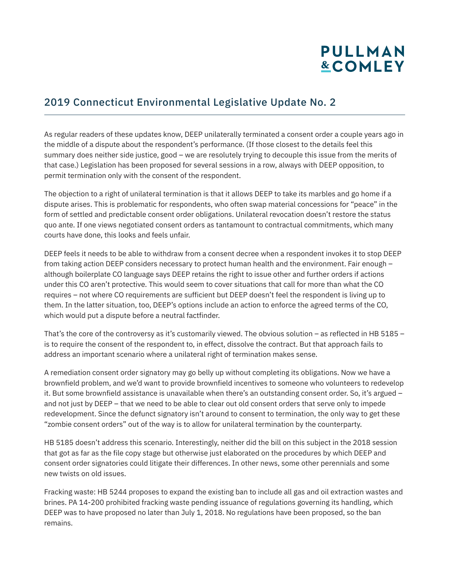# **PULLMAN &COMLEY**

### 2019 Connecticut Environmental Legislative Update No. 2

As regular readers of these updates know, DEEP unilaterally terminated a consent order a couple years ago in the middle of a dispute about the respondent's performance. (If those closest to the details feel this summary does neither side justice, good – we are resolutely trying to decouple this issue from the merits of that case.) Legislation has been proposed for several sessions in a row, always with DEEP opposition, to permit termination only with the consent of the respondent.

The objection to a right of unilateral termination is that it allows DEEP to take its marbles and go home if a dispute arises. This is problematic for respondents, who often swap material concessions for "peace" in the form of settled and predictable consent order obligations. Unilateral revocation doesn't restore the status quo ante. If one views negotiated consent orders as tantamount to contractual commitments, which many courts have done, this looks and feels unfair.

DEEP feels it needs to be able to withdraw from a consent decree when a respondent invokes it to stop DEEP from taking action DEEP considers necessary to protect human health and the environment. Fair enough – although boilerplate CO language says DEEP retains the right to issue other and further orders if actions under this CO aren't protective. This would seem to cover situations that call for more than what the CO requires – not where CO requirements are sufficient but DEEP doesn't feel the respondent is living up to them. In the latter situation, too, DEEP's options include an action to enforce the agreed terms of the CO, which would put a dispute before a neutral factfinder.

That's the core of the controversy as it's customarily viewed. The obvious solution – as reflected in HB  $5185$ is to require the consent of the respondent to, in effect, dissolve the contract. But that approach fails to address an important scenario where a unilateral right of termination makes sense.

A remediation consent order signatory may go belly up without completing its obligations. Now we have a brownfield problem, and we'd want to provide brownfield incentives to someone who volunteers to redevelop it. But some brownfield assistance is unavailable when there's an outstanding consent order. So, it's argued – and not just by DEEP – that we need to be able to clear out old consent orders that serve only to impede redevelopment. Since the defunct signatory isn't around to consent to termination, the only way to get these "zombie consent orders" out of the way is to allow for unilateral termination by the counterparty.

HB 5185 doesn't address this scenario. Interestingly, neither did the bill on this subject in the 2018 session that got as far as the file copy stage but otherwise just elaborated on the procedures by which DEEP and consent order signatories could litigate their differences. In other news, some other perennials and some new twists on old issues.

Fracking waste: HB 5244 proposes to expand the existing ban to include all gas and oil extraction wastes and brines. PA 14-200 prohibited fracking waste pending issuance of regulations governing its handling, which DEEP was to have proposed no later than July 1, 2018. No regulations have been proposed, so the ban remains.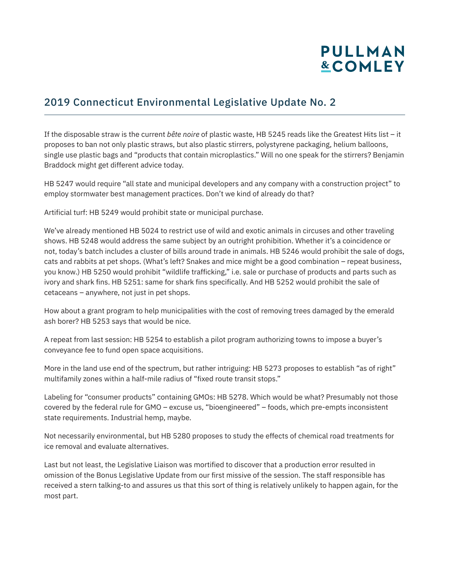# **PULLMAN &COMLEY**

### 2019 Connecticut Environmental Legislative Update No. 2

If the disposable straw is the current *bête noire* of plastic waste, HB 5245 reads like the Greatest Hits list – it proposes to ban not only plastic straws, but also plastic stirrers, polystyrene packaging, helium balloons, single use plastic bags and "products that contain microplastics." Will no one speak for the stirrers? Benjamin Braddock might get different advice today.

HB 5247 would require "all state and municipal developers and any company with a construction project" to employ stormwater best management practices. Don't we kind of already do that?

Artificial turf: HB 5249 would prohibit state or municipal purchase.

We've already mentioned HB 5024 to restrict use of wild and exotic animals in circuses and other traveling shows. HB 5248 would address the same subject by an outright prohibition. Whether it's a coincidence or not, today's batch includes a cluster of bills around trade in animals. HB 5246 would prohibit the sale of dogs, cats and rabbits at pet shops. (What's left? Snakes and mice might be a good combination – repeat business, you know.) HB 5250 would prohibit "wildlife trafficking," i.e. sale or purchase of products and parts such as ivory and shark fins. HB 5251: same for shark fins specifically. And HB 5252 would prohibit the sale of cetaceans – anywhere, not just in pet shops.

How about a grant program to help municipalities with the cost of removing trees damaged by the emerald ash borer? HB 5253 says that would be nice.

A repeat from last session: HB 5254 to establish a pilot program authorizing towns to impose a buyer's conveyance fee to fund open space acquisitions.

More in the land use end of the spectrum, but rather intriguing: HB 5273 proposes to establish "as of right" multifamily zones within a half-mile radius of "fixed route transit stops."

Labeling for "consumer products" containing GMOs: HB 5278. Which would be what? Presumably not those covered by the federal rule for GMO – excuse us, "bioengineered" – foods, which pre-empts inconsistent state requirements. Industrial hemp, maybe.

Not necessarily environmental, but HB 5280 proposes to study the effects of chemical road treatments for ice removal and evaluate alternatives.

Last but not least, the Legislative Liaison was mortified to discover that a production error resulted in omission of the Bonus Legislative Update from our first missive of the session. The staff responsible has received a stern talking-to and assures us that this sort of thing is relatively unlikely to happen again, for the most part.